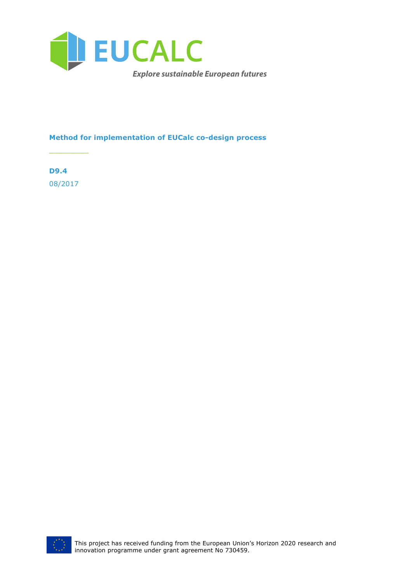

### **Method for implementation of EUCalc co-design process**

**D9.4** 08/2017

 $\frac{1}{2}$ 

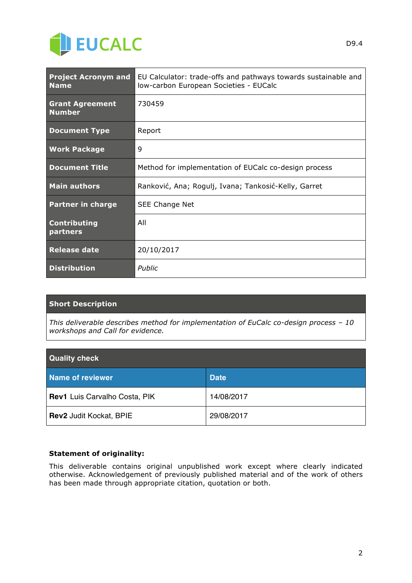

| <b>Project Acronym and</b><br><b>Name</b> | EU Calculator: trade-offs and pathways towards sustainable and<br>Iow-carbon European Societies - EUCalc |
|-------------------------------------------|----------------------------------------------------------------------------------------------------------|
| <b>Grant Agreement</b><br><b>Number</b>   | 730459                                                                                                   |
| <b>Document Type</b>                      | Report                                                                                                   |
| <b>Work Package</b>                       | 9                                                                                                        |
| <b>Document Title</b>                     | Method for implementation of EUCalc co-design process                                                    |
| <b>Main authors</b>                       | Ranković, Ana; Rogulj, Ivana; Tankosić-Kelly, Garret                                                     |
| <b>Partner in charge</b>                  | SEE Change Net                                                                                           |
| <b>Contributing</b><br>partners           | All                                                                                                      |
| <b>Release date</b>                       | 20/10/2017                                                                                               |
| <b>Distribution</b>                       | Public                                                                                                   |

### **Short Description**

*This deliverable describes method for implementation of EuCalc co-design process – 10 workshops and Call for evidence.*

| <b>Quality check</b>          |             |  |  |
|-------------------------------|-------------|--|--|
| Name of reviewer              | <b>Date</b> |  |  |
| Rev1 Luis Carvalho Costa, PIK | 14/08/2017  |  |  |
| Rev2 Judit Kockat, BPIE       | 29/08/2017  |  |  |

### **Statement of originality:**

This deliverable contains original unpublished work except where clearly indicated otherwise. Acknowledgement of previously published material and of the work of others has been made through appropriate citation, quotation or both.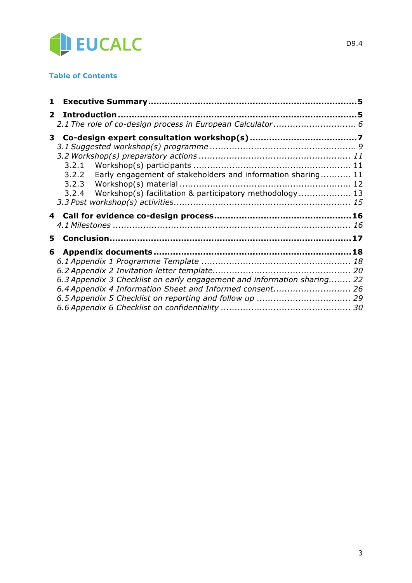

### **Table of Contents**

| $\mathbf{2}$ |                                                                         |  |
|--------------|-------------------------------------------------------------------------|--|
|              |                                                                         |  |
|              | 3                                                                       |  |
|              |                                                                         |  |
|              |                                                                         |  |
|              |                                                                         |  |
|              | Early engagement of stakeholders and information sharing 11<br>3.2.2    |  |
|              | 3.2.3                                                                   |  |
|              | 3.2.4<br>Workshop(s) facilitation & participatory methodology 13        |  |
|              |                                                                         |  |
|              |                                                                         |  |
|              |                                                                         |  |
| 5.           |                                                                         |  |
| 6            |                                                                         |  |
|              |                                                                         |  |
|              |                                                                         |  |
|              |                                                                         |  |
|              | 6.3 Appendix 3 Checklist on early engagement and information sharing 22 |  |
|              | 6.4 Appendix 4 Information Sheet and Informed consent 26                |  |
|              |                                                                         |  |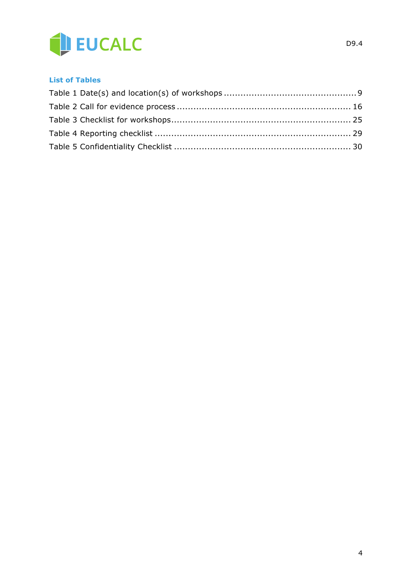

### **List of Tables**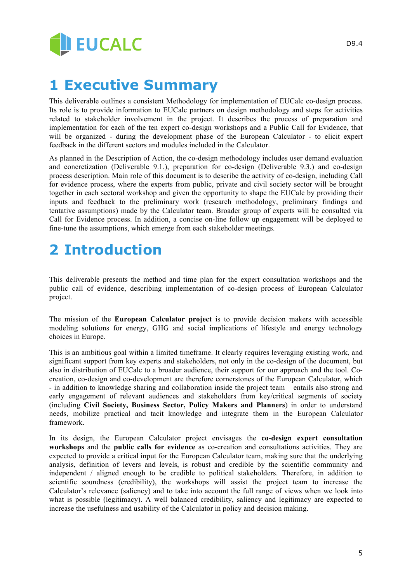

## **1 Executive Summary**

This deliverable outlines a consistent Methodology for implementation of EUCalc co-design process. Its role is to provide information to EUCalc partners on design methodology and steps for activities related to stakeholder involvement in the project. It describes the process of preparation and implementation for each of the ten expert co-design workshops and a Public Call for Evidence, that will be organized - during the development phase of the European Calculator - to elicit expert feedback in the different sectors and modules included in the Calculator.

As planned in the Description of Action, the co-design methodology includes user demand evaluation and concretization (Deliverable 9.1.), preparation for co-design (Deliverable 9.3.) and co-design process description. Main role of this document is to describe the activity of co-design, including Call for evidence process, where the experts from public, private and civil society sector will be brought together in each sectoral workshop and given the opportunity to shape the EUCalc by providing their inputs and feedback to the preliminary work (research methodology, preliminary findings and tentative assumptions) made by the Calculator team. Broader group of experts will be consulted via Call for Evidence process. In addition, a concise on-line follow up engagement will be deployed to fine-tune the assumptions, which emerge from each stakeholder meetings.

# **2 Introduction**

This deliverable presents the method and time plan for the expert consultation workshops and the public call of evidence, describing implementation of co-design process of European Calculator project.

The mission of the **European Calculator project** is to provide decision makers with accessible modeling solutions for energy, GHG and social implications of lifestyle and energy technology choices in Europe.

This is an ambitious goal within a limited timeframe. It clearly requires leveraging existing work, and significant support from key experts and stakeholders, not only in the co-design of the document, but also in distribution of EUCalc to a broader audience, their support for our approach and the tool. Cocreation, co-design and co-development are therefore cornerstones of the European Calculator, which - in addition to knowledge sharing and collaboration inside the project team – entails also strong and early engagement of relevant audiences and stakeholders from key/critical segments of society (including **Civil Society, Business Sector, Policy Makers and Planners**) in order to understand needs, mobilize practical and tacit knowledge and integrate them in the European Calculator framework.

In its design, the European Calculator project envisages the **co-design expert consultation workshops** and the **public calls for evidence** as co-creation and consultations activities. They are expected to provide a critical input for the European Calculator team, making sure that the underlying analysis, definition of levers and levels, is robust and credible by the scientific community and independent / aligned enough to be credible to political stakeholders. Therefore, in addition to scientific soundness (credibility), the workshops will assist the project team to increase the Calculator's relevance (saliency) and to take into account the full range of views when we look into what is possible (legitimacy). A well balanced credibility, saliency and legitimacy are expected to increase the usefulness and usability of the Calculator in policy and decision making.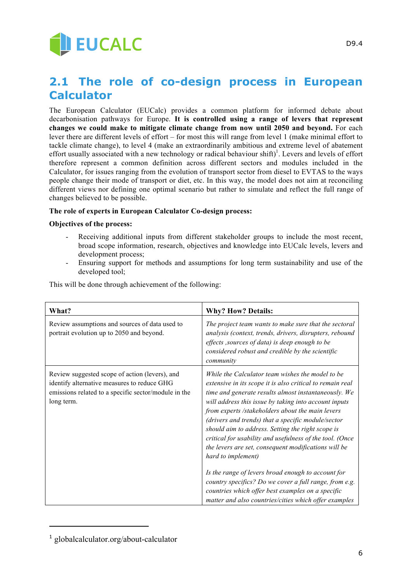

## **2.1 The role of co-design process in European Calculator**

The European Calculator (EUCalc) provides a common platform for informed debate about decarbonisation pathways for Europe. **It is controlled using a range of levers that represent changes we could make to mitigate climate change from now until 2050 and beyond.** For each lever there are different levels of effort – for most this will range from level 1 (make minimal effort to tackle climate change), to level 4 (make an extraordinarily ambitious and extreme level of abatement effort usually associated with a new technology or radical behaviour shift)<sup>1</sup>. Levers and levels of effort therefore represent a common definition across different sectors and modules included in the Calculator, for issues ranging from the evolution of transport sector from diesel to EVTAS to the ways people change their mode of transport or diet, etc. In this way, the model does not aim at reconciling different views nor defining one optimal scenario but rather to simulate and reflect the full range of changes believed to be possible.

### **The role of experts in European Calculator Co-design process:**

### **Objectives of the process:**

- Receiving additional inputs from different stakeholder groups to include the most recent, broad scope information, research, objectives and knowledge into EUCalc levels, levers and development process;
- Ensuring support for methods and assumptions for long term sustainability and use of the developed tool;

| <b>What?</b>                                                                                                                                                        | <b>Why? How? Details:</b>                                                                                                                                                                                                                                                                                                                                                                                                                                                                                                                                                                                                                                                                                    |
|---------------------------------------------------------------------------------------------------------------------------------------------------------------------|--------------------------------------------------------------------------------------------------------------------------------------------------------------------------------------------------------------------------------------------------------------------------------------------------------------------------------------------------------------------------------------------------------------------------------------------------------------------------------------------------------------------------------------------------------------------------------------------------------------------------------------------------------------------------------------------------------------|
| Review assumptions and sources of data used to<br>portrait evolution up to 2050 and beyond.                                                                         | The project team wants to make sure that the sectoral<br>analysis (context, trends, drivers, disrupters, rebound<br>effects , sources of data) is deep enough to be<br>considered robust and credible by the scientific<br>community                                                                                                                                                                                                                                                                                                                                                                                                                                                                         |
| Review suggested scope of action (levers), and<br>identify alternative measures to reduce GHG<br>emissions related to a specific sector/module in the<br>long term. | While the Calculator team wishes the model to be<br>extensive in its scope it is also critical to remain real<br>time and generate results almost instantaneously. We<br>will address this issue by taking into account inputs<br>from experts /stakeholders about the main levers<br>(drivers and trends) that a specific module/sector<br>should aim to address. Setting the right scope is<br>critical for usability and usefulness of the tool. (Once<br>the levers are set, consequent modifications will be<br>hard to implement)<br>Is the range of levers broad enough to account for<br>country specifics? Do we cover a full range, from e.g.<br>countries which offer best examples on a specific |

This will be done through achievement of the following:

j

<sup>1</sup> globalcalculator.org/about-calculator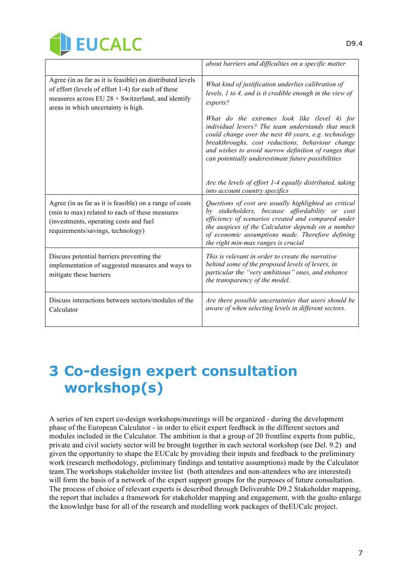

|                                                                                                                                                                                                               | about barriers and difficulties on a specific matter                                                                                                                                                                                                                                                                        |
|---------------------------------------------------------------------------------------------------------------------------------------------------------------------------------------------------------------|-----------------------------------------------------------------------------------------------------------------------------------------------------------------------------------------------------------------------------------------------------------------------------------------------------------------------------|
| Agree (in as far as it is feasible) on distributed levels<br>of effort (levels of effort 1-4) for each of these<br>measures across EU $28 +$ Switzerland, and identify<br>areas in which uncertainty is high. | What kind of justification underlies calibration of<br>levels, 1 to 4, and is it credible enough in the view of<br>experts?                                                                                                                                                                                                 |
|                                                                                                                                                                                                               | What do the extremes look like (level 4) for<br>individual levers? The team understands that much<br>could change over the next 40 years, e.g. technology<br>breakthroughs, cost reductions, behaviour change<br>and wishes to avoid narrow definition of ranges that<br>can potentially underestimate future possibilities |
|                                                                                                                                                                                                               | Are the levels of effort 1-4 equally distributed, taking<br>into account country specifics                                                                                                                                                                                                                                  |
| Agree (in as far as it is feasible) on a range of costs<br>(min to max) related to each of these measures<br>(investments, operating costs and fuel<br>requirements/savings, technology)                      | Questions of cost are usually highlighted as critical<br>by stakeholders, because affordability or cost<br>efficiency of scenarios created and compared under<br>the auspices of the Calculator depends on a number<br>of economic assumptions made. Therefore defining<br>the right min-max ranges is crucial              |
| Discuss potential barriers preventing the<br>implementation of suggested measures and ways to<br>mitigate these barriers                                                                                      | This is relevant in order to create the narrative<br>behind some of the proposed levels of levers, in<br>particular the "very ambitious" ones, and enhance<br>the transparency of the model.                                                                                                                                |
| Discuss interactions between sectors/modules of the<br>Calculator                                                                                                                                             | Are there possible uncertainties that users should be<br>aware of when selecting levels in different sectors.                                                                                                                                                                                                               |

# **3 Co-design expert consultation workshop(s)**

A series of ten expert co-design workshops/meetings will be organized - during the development phase of the European Calculator - in order to elicit expert feedback in the different sectors and modules included in the Calculator. The ambition is that a group of 20 frontline experts from public, private and civil society sector will be brought together in each sectoral workshop (see Del. 9.2) and given the opportunity to shape the EUCalc by providing their inputs and feedback to the preliminary work (research methodology, preliminary findings and tentative assumptions) made by the Calculator team.The workshops stakeholder invitee list (both attendees and non-attendees who are interested) will form the basis of a network of the expert support groups for the purposes of future consultation. The process of choice of relevant experts is described through Deliverable D9.2 Stakeholder mapping, the report that includes a framework for stakeholder mapping and engagement, with the goalto enlarge the knowledge base for all of the research and modelling work packages of theEUCalc project.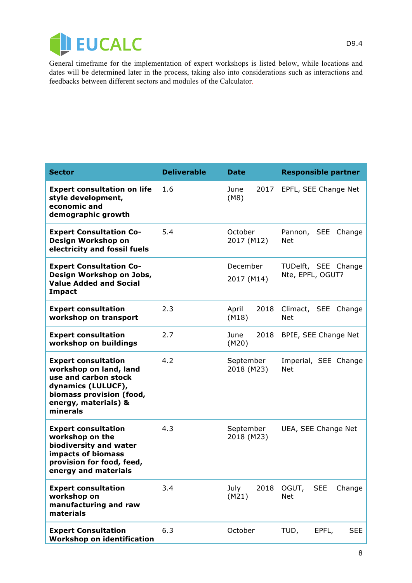

General timeframe for the implementation of expert workshops is listed below, while locations and dates will be determined later in the process, taking also into considerations such as interactions and feedbacks between different sectors and modules of the Calculator.

| <b>Sector</b>                                                                                                                                                      | <b>Deliverable</b> | <b>Date</b>             | <b>Responsible partner</b>                  |
|--------------------------------------------------------------------------------------------------------------------------------------------------------------------|--------------------|-------------------------|---------------------------------------------|
| <b>Expert consultation on life</b><br>style development,<br>economic and<br>demographic growth                                                                     | 1.6                | 2017<br>June<br>(M8)    | EPFL, SEE Change Net                        |
| <b>Expert Consultation Co-</b><br>Design Workshop on<br>electricity and fossil fuels                                                                               | 5.4                | October<br>2017 (M12)   | Pannon, SEE<br>Change<br><b>Net</b>         |
| <b>Expert Consultation Co-</b><br>Design Workshop on Jobs,<br><b>Value Added and Social</b><br><b>Impact</b>                                                       |                    | December<br>2017 (M14)  | TUDelft, SEE Change<br>Nte, EPFL, OGUT?     |
| <b>Expert consultation</b><br>workshop on transport                                                                                                                | 2.3                | April<br>2018<br>(M18)  | Climact, SEE Change<br><b>Net</b>           |
| <b>Expert consultation</b><br>workshop on buildings                                                                                                                | 2.7                | 2018<br>June<br>(M20)   | BPIE, SEE Change Net                        |
| <b>Expert consultation</b><br>workshop on land, land<br>use and carbon stock<br>dynamics (LULUCF),<br>biomass provision (food,<br>energy, materials) &<br>minerals | 4.2                | September<br>2018 (M23) | Imperial, SEE Change<br><b>Net</b>          |
| <b>Expert consultation</b><br>workshop on the<br>biodiversity and water<br>impacts of biomass<br>provision for food, feed,<br>energy and materials                 | 4.3                | September<br>2018 (M23) | UEA, SEE Change Net                         |
| <b>Expert consultation</b><br>workshop on<br>manufacturing and raw<br>materials                                                                                    | 3.4                | July<br>2018<br>(M21)   | OGUT,<br><b>SEE</b><br>Change<br><b>Net</b> |
| <b>Expert Consultation</b><br><b>Workshop on identification</b>                                                                                                    | 6.3                | October                 | <b>SEE</b><br>TUD,<br>EPFL,                 |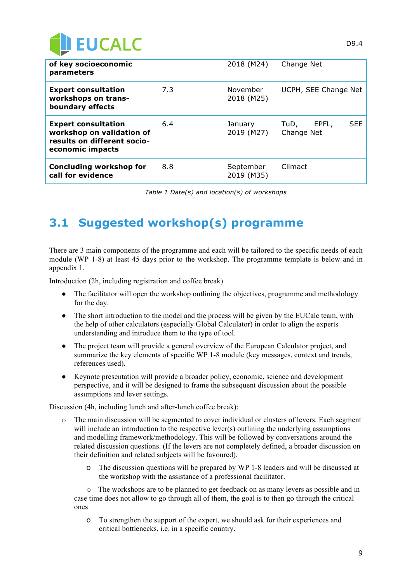

| of key socioeconomic<br>parameters                                                                         |     | 2018 (M24)              | Change Net                                |
|------------------------------------------------------------------------------------------------------------|-----|-------------------------|-------------------------------------------|
| <b>Expert consultation</b><br>workshops on trans-<br>boundary effects                                      | 7.3 | November<br>2018 (M25)  | UCPH, SEE Change Net                      |
| <b>Expert consultation</b><br>workshop on validation of<br>results on different socio-<br>economic impacts | 6.4 | January<br>2019 (M27)   | <b>SEE</b><br>EPFL,<br>TuD,<br>Change Net |
| <b>Concluding workshop for</b><br>call for evidence                                                        | 8.8 | September<br>2019 (M35) | Climact                                   |

*Table 1 Date(s) and location(s) of workshops*

## **3.1 Suggested workshop(s) programme**

There are 3 main components of the programme and each will be tailored to the specific needs of each module (WP 1-8) at least 45 days prior to the workshop. The programme template is below and in appendix 1.

Introduction (2h, including registration and coffee break)

- The facilitator will open the workshop outlining the objectives, programme and methodology for the day.
- The short introduction to the model and the process will be given by the EUCalc team, with the help of other calculators (especially Global Calculator) in order to align the experts understanding and introduce them to the type of tool.
- The project team will provide a general overview of the European Calculator project, and summarize the key elements of specific WP 1-8 module (key messages, context and trends, references used).
- Keynote presentation will provide a broader policy, economic, science and development perspective, and it will be designed to frame the subsequent discussion about the possible assumptions and lever settings.

Discussion (4h, including lunch and after-lunch coffee break):

- o The main discussion will be segmented to cover individual or clusters of levers. Each segment will include an introduction to the respective lever(s) outlining the underlying assumptions and modelling framework/methodology. This will be followed by conversations around the related discussion questions. (If the levers are not completely defined, a broader discussion on their definition and related subjects will be favoured).
	- o The discussion questions will be prepared by WP 1-8 leaders and will be discussed at the workshop with the assistance of a professional facilitator.

The workshops are to be planned to get feedback on as many levers as possible and in case time does not allow to go through all of them, the goal is to then go through the critical ones

o To strengthen the support of the expert, we should ask for their experiences and critical bottlenecks, i.e. in a specific country.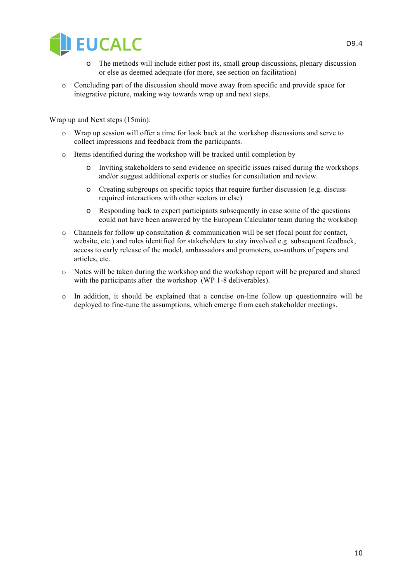

- o The methods will include either post its, small group discussions, plenary discussion or else as deemed adequate (for more, see section on facilitation)
- o Concluding part of the discussion should move away from specific and provide space for integrative picture, making way towards wrap up and next steps.

Wrap up and Next steps (15min):

- o Wrap up session will offer a time for look back at the workshop discussions and serve to collect impressions and feedback from the participants.
- o Items identified during the workshop will be tracked until completion by
	- o Inviting stakeholders to send evidence on specific issues raised during the workshops and/or suggest additional experts or studies for consultation and review.
	- o Creating subgroups on specific topics that require further discussion (e.g. discuss required interactions with other sectors or else)
	- o Responding back to expert participants subsequently in case some of the questions could not have been answered by the European Calculator team during the workshop
- $\circ$  Channels for follow up consultation & communication will be set (focal point for contact, website, etc.) and roles identified for stakeholders to stay involved e.g. subsequent feedback, access to early release of the model, ambassadors and promoters, co-authors of papers and articles, etc.
- o Notes will be taken during the workshop and the workshop report will be prepared and shared with the participants after the workshop (WP 1-8 deliverables).
- $\circ$  In addition, it should be explained that a concise on-line follow up questionnaire will be deployed to fine-tune the assumptions, which emerge from each stakeholder meetings.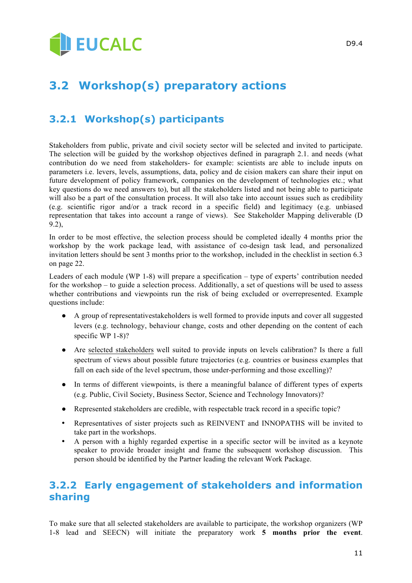# **BEUCALC**

## **3.2 Workshop(s) preparatory actions**

## **3.2.1 Workshop(s) participants**

Stakeholders from public, private and civil society sector will be selected and invited to participate. The selection will be guided by the workshop objectives defined in paragraph 2.1. and needs (what contribution do we need from stakeholders- for example: scientists are able to include inputs on parameters i.e. levers, levels, assumptions, data, policy and de cision makers can share their input on future development of policy framework, companies on the development of technologies etc.; what key questions do we need answers to), but all the stakeholders listed and not being able to participate will also be a part of the consultation process. It will also take into account issues such as credibility (e.g. scientific rigor and/or a track record in a specific field) and legitimacy (e.g. unbiased representation that takes into account a range of views). See Stakeholder Mapping deliverable (D 9.2),

In order to be most effective, the selection process should be completed ideally 4 months prior the workshop by the work package lead, with assistance of co-design task lead, and personalized invitation letters should be sent 3 months prior to the workshop, included in the checklist in section 6.3 on page 22.

Leaders of each module (WP 1-8) will prepare a specification – type of experts' contribution needed for the workshop – to guide a selection process. Additionally, a set of questions will be used to assess whether contributions and viewpoints run the risk of being excluded or overrepresented. Example questions include:

- A group of representativestakeholders is well formed to provide inputs and cover all suggested levers (e.g. technology, behaviour change, costs and other depending on the content of each specific WP 1-8)?
- Are selected stakeholders well suited to provide inputs on levels calibration? Is there a full spectrum of views about possible future trajectories (e.g. countries or business examples that fall on each side of the level spectrum, those under-performing and those excelling)?
- In terms of different viewpoints, is there a meaningful balance of different types of experts (e.g. Public, Civil Society, Business Sector, Science and Technology Innovators)?
- Represented stakeholders are credible, with respectable track record in a specific topic?
- Representatives of sister projects such as REINVENT and INNOPATHS will be invited to take part in the workshops.
- A person with a highly regarded expertise in a specific sector will be invited as a keynote speaker to provide broader insight and frame the subsequent workshop discussion. This person should be identified by the Partner leading the relevant Work Package.

## **3.2.2 Early engagement of stakeholders and information sharing**

To make sure that all selected stakeholders are available to participate, the workshop organizers (WP 1-8 lead and SEECN) will initiate the preparatory work **5 months prior the event**.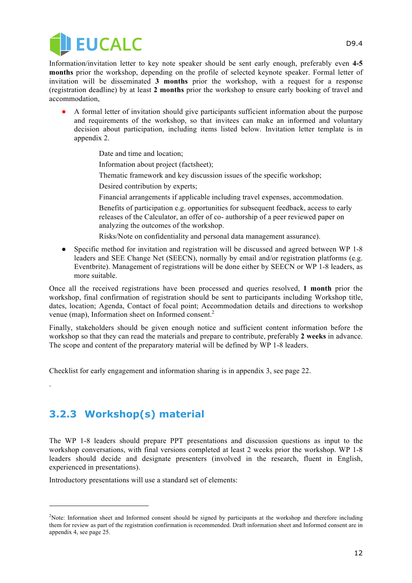

Information/invitation letter to key note speaker should be sent early enough, preferably even **4-5 months** prior the workshop, depending on the profile of selected keynote speaker. Formal letter of invitation will be disseminated **3 months** prior the workshop, with a request for a response (registration deadline) by at least **2 months** prior the workshop to ensure early booking of travel and accommodation,

- A formal letter of invitation should give participants sufficient information about the purpose and requirements of the workshop, so that invitees can make an informed and voluntary decision about participation, including items listed below. Invitation letter template is in appendix 2.
	- Date and time and location;
	- Information about project (factsheet);
	- Thematic framework and key discussion issues of the specific workshop;
	- Desired contribution by experts;
	- Financial arrangements if applicable including travel expenses, accommodation.
	- Benefits of participation e.g. opportunities for subsequent feedback, access to early releases of the Calculator, an offer of co- authorship of a peer reviewed paper on analyzing the outcomes of the workshop.
	- Risks/Note on confidentiality and personal data management assurance).
- Specific method for invitation and registration will be discussed and agreed between WP 1-8 leaders and SEE Change Net (SEECN), normally by email and/or registration platforms (e.g. Eventbrite). Management of registrations will be done either by SEECN or WP 1-8 leaders, as more suitable.

Once all the received registrations have been processed and queries resolved, **1 month** prior the workshop, final confirmation of registration should be sent to participants including Workshop title, dates, location; Agenda, Contact of focal point; Accommodation details and directions to workshop venue (map), Information sheet on Informed consent.<sup>2</sup>

Finally, stakeholders should be given enough notice and sufficient content information before the workshop so that they can read the materials and prepare to contribute, preferably **2 weeks** in advance. The scope and content of the preparatory material will be defined by WP 1-8 leaders.

Checklist for early engagement and information sharing is in appendix 3, see page 22.

## **3.2.3 Workshop(s) material**

.

j

The WP 1-8 leaders should prepare PPT presentations and discussion questions as input to the workshop conversations, with final versions completed at least 2 weeks prior the workshop. WP 1-8 leaders should decide and designate presenters (involved in the research, fluent in English, experienced in presentations).

Introductory presentations will use a standard set of elements:

<sup>&</sup>lt;sup>2</sup>Note: Information sheet and Informed consent should be signed by participants at the workshop and therefore including them for review as part of the registration confirmation is recommended. Draft information sheet and Informed consent are in appendix 4, see page 25.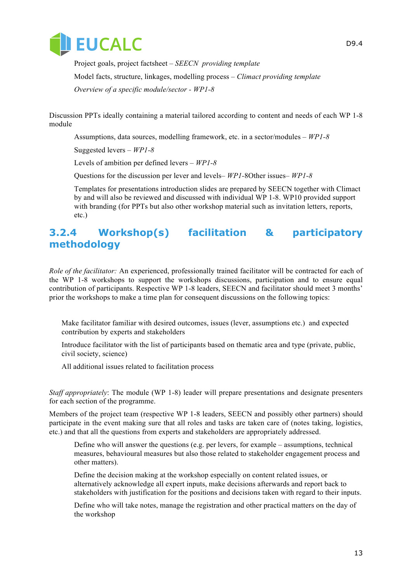

 Project goals, project factsheet – *SEECN providing template* Model facts, structure, linkages, modelling process – *Climact providing template Overview of a specific module/sector - WP1-8*

Discussion PPTs ideally containing a material tailored according to content and needs of each WP 1-8 module

Assumptions, data sources, modelling framework, etc. in a sector/modules *– WP1-8*

Suggested levers *– WP1-8*

Levels of ambition per defined levers *– WP1-8*

Questions for the discussion per lever and levels*– WP1-*8Other issues*– WP1-8*

Templates for presentations introduction slides are prepared by SEECN together with Climact by and will also be reviewed and discussed with individual WP 1-8. WP10 provided support with branding (for PPTs but also other workshop material such as invitation letters, reports, etc.)

### **3.2.4 Workshop(s) facilitation & participatory methodology**

*Role of the facilitator:* An experienced, professionally trained facilitator will be contracted for each of the WP 1-8 workshops to support the workshops discussions, participation and to ensure equal contribution of participants. Respective WP 1-8 leaders, SEECN and facilitator should meet 3 months' prior the workshops to make a time plan for consequent discussions on the following topics:

 Make facilitator familiar with desired outcomes, issues (lever, assumptions etc.) and expected contribution by experts and stakeholders

 Introduce facilitator with the list of participants based on thematic area and type (private, public, civil society, science)

All additional issues related to facilitation process

*Staff appropriately*: The module (WP 1-8) leader will prepare presentations and designate presenters for each section of the programme.

Members of the project team (respective WP 1-8 leaders, SEECN and possibly other partners) should participate in the event making sure that all roles and tasks are taken care of (notes taking, logistics, etc.) and that all the questions from experts and stakeholders are appropriately addressed.

 Define who will answer the questions (e.g. per levers, for example – assumptions, technical measures, behavioural measures but also those related to stakeholder engagement process and other matters).

 Define the decision making at the workshop especially on content related issues, or alternatively acknowledge all expert inputs, make decisions afterwards and report back to stakeholders with justification for the positions and decisions taken with regard to their inputs.

 Define who will take notes, manage the registration and other practical matters on the day of the workshop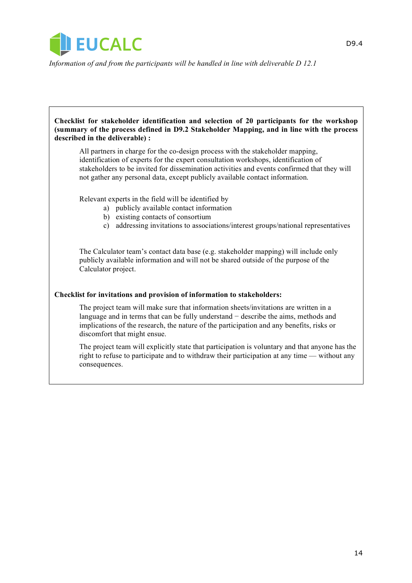

*Information of and from the participants will be handled in line with deliverable D 12.1*

**Checklist for stakeholder identification and selection of 20 participants for the workshop (summary of the process defined in D9.2 Stakeholder Mapping, and in line with the process described in the deliverable) :** All partners in charge for the co-design process with the stakeholder mapping, identification of experts for the expert consultation workshops, identification of stakeholders to be invited for dissemination activities and events confirmed that they will not gather any personal data, except publicly available contact information.

Relevant experts in the field will be identified by

- a) publicly available contact information
- b) existing contacts of consortium
- c) addressing invitations to associations/interest groups/national representatives

 The Calculator team's contact data base (e.g. stakeholder mapping) will include only publicly available information and will not be shared outside of the purpose of the Calculator project.

### **Checklist for invitations and provision of information to stakeholders:**

 The project team will make sure that information sheets/invitations are written in a language and in terms that can be fully understand − describe the aims, methods and implications of the research, the nature of the participation and any benefits, risks or discomfort that might ensue.

 The project team will explicitly state that participation is voluntary and that anyone has the right to refuse to participate and to withdraw their participation at any time — without any consequences.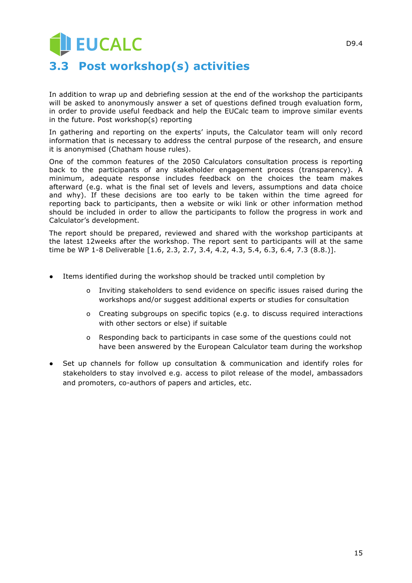# **EUCALC 3.3 Post workshop(s) activities**

In addition to wrap up and debriefing session at the end of the workshop the participants will be asked to anonymously answer a set of questions defined trough evaluation form, in order to provide useful feedback and help the EUCalc team to improve similar events in the future. Post workshop(s) reporting

In gathering and reporting on the experts' inputs, the Calculator team will only record information that is necessary to address the central purpose of the research, and ensure it is anonymised (Chatham house rules).

One of the common features of the 2050 Calculators consultation process is reporting back to the participants of any stakeholder engagement process (transparency). A minimum, adequate response includes feedback on the choices the team makes afterward (e.g. what is the final set of levels and levers, assumptions and data choice and why). If these decisions are too early to be taken within the time agreed for reporting back to participants, then a website or wiki link or other information method should be included in order to allow the participants to follow the progress in work and Calculator's development.

The report should be prepared, reviewed and shared with the workshop participants at the latest 12weeks after the workshop. The report sent to participants will at the same time be WP 1-8 Deliverable [1.6, 2.3, 2.7, 3.4, 4.2, 4.3, 5.4, 6.3, 6.4, 7.3 (8.8.)].

- Items identified during the workshop should be tracked until completion by
	- o Inviting stakeholders to send evidence on specific issues raised during the workshops and/or suggest additional experts or studies for consultation
	- o Creating subgroups on specific topics (e.g. to discuss required interactions with other sectors or else) if suitable
	- o Responding back to participants in case some of the questions could not have been answered by the European Calculator team during the workshop
- Set up channels for follow up consultation & communication and identify roles for stakeholders to stay involved e.g. access to pilot release of the model, ambassadors and promoters, co-authors of papers and articles, etc.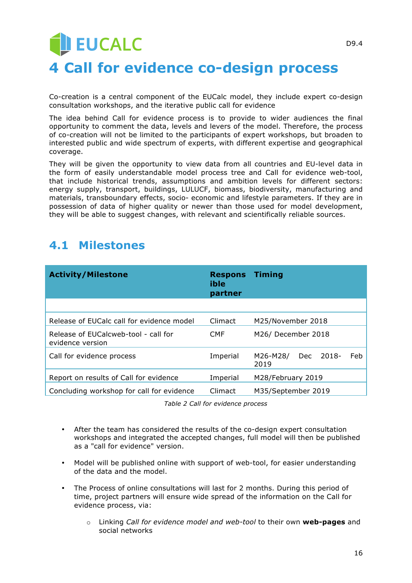# **DEUCALC 4 Call for evidence co-design process**

Co-creation is a central component of the EUCalc model, they include expert co-design consultation workshops, and the iterative public call for evidence

The idea behind Call for evidence process is to provide to wider audiences the final opportunity to comment the data, levels and levers of the model. Therefore, the process of co-creation will not be limited to the participants of expert workshops, but broaden to interested public and wide spectrum of experts, with different expertise and geographical coverage.

They will be given the opportunity to view data from all countries and EU-level data in the form of easily understandable model process tree and Call for evidence web-tool, that include historical trends, assumptions and ambition levels for different sectors: energy supply, transport, buildings, LULUCF, biomass, biodiversity, manufacturing and materials, transboundary effects, socio- economic and lifestyle parameters. If they are in possession of data of higher quality or newer than those used for model development, they will be able to suggest changes, with relevant and scientifically reliable sources.

## **4.1 Milestones**

| <b>Activity/Milestone</b>                                | <b>Respons</b><br>ible<br>partner | <b>Timing</b>                           |  |
|----------------------------------------------------------|-----------------------------------|-----------------------------------------|--|
|                                                          |                                   |                                         |  |
| Release of EUCalc call for evidence model                | Climact                           | M25/November 2018                       |  |
| Release of EUCalcweb-tool - call for<br>evidence version | <b>CMF</b>                        | M26/ December 2018                      |  |
| Call for evidence process                                | Imperial                          | 2018-<br>Feb<br>M26-M28/<br>Dec<br>2019 |  |
| Report on results of Call for evidence                   | Imperial                          | M28/February 2019                       |  |
| Concluding workshop for call for evidence                | <b>Climact</b>                    | M35/September 2019                      |  |

*Table 2 Call for evidence process*

- After the team has considered the results of the co-design expert consultation workshops and integrated the accepted changes, full model will then be published as a "call for evidence" version.
- Model will be published online with support of web-tool, for easier understanding of the data and the model.
- The Process of online consultations will last for 2 months. During this period of time, project partners will ensure wide spread of the information on the Call for evidence process, via:
	- o Linking *Call for evidence model and web-tool* to their own **web-pages** and social networks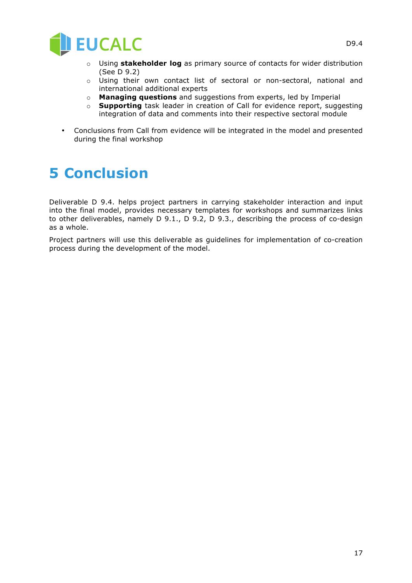

- o Using **stakeholder log** as primary source of contacts for wider distribution (See D 9.2)
- o Using their own contact list of sectoral or non-sectoral, national and international additional experts
- o **Managing questions** and suggestions from experts, led by Imperial
- o **Supporting** task leader in creation of Call for evidence report, suggesting integration of data and comments into their respective sectoral module
- Conclusions from Call from evidence will be integrated in the model and presented during the final workshop

# **5 Conclusion**

Deliverable D 9.4. helps project partners in carrying stakeholder interaction and input into the final model, provides necessary templates for workshops and summarizes links to other deliverables, namely D 9.1., D 9.2, D 9.3., describing the process of co-design as a whole.

Project partners will use this deliverable as guidelines for implementation of co-creation process during the development of the model.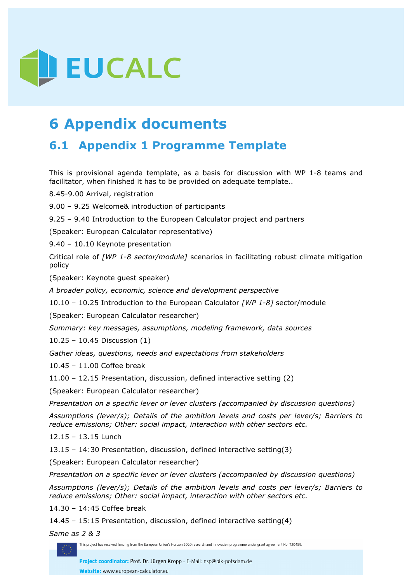

# **6 Appendix documents**

## **6.1 Appendix 1 Programme Template**

This is provisional agenda template, as a basis for discussion with WP 1-8 teams and facilitator, when finished it has to be provided on adequate template..

8.45-9.00 Arrival, registration

9.00 – 9.25 Welcome& introduction of participants

9.25 – 9.40 Introduction to the European Calculator project and partners

(Speaker: European Calculator representative)

9.40 – 10.10 Keynote presentation

Critical role of *[WP 1-8 sector/module]* scenarios in facilitating robust climate mitigation policy

(Speaker: Keynote guest speaker)

*A broader policy, economic, science and development perspective* 

10.10 – 10.25 Introduction to the European Calculator *[WP 1-8]* sector/module

(Speaker: European Calculator researcher)

*Summary: key messages, assumptions, modeling framework, data sources*

10.25 – 10.45 Discussion (1)

*Gather ideas, questions, needs and expectations from stakeholders* 

10.45 – 11.00 Coffee break

11.00 – 12.15 Presentation, discussion, defined interactive setting (2)

(Speaker: European Calculator researcher)

*Presentation on a specific lever or lever clusters (accompanied by discussion questions)*

*Assumptions (lever/s); Details of the ambition levels and costs per lever/s; Barriers to reduce emissions; Other: social impact, interaction with other sectors etc.*

12.15 – 13.15 Lunch

13.15 – 14:30 Presentation, discussion, defined interactive setting(3)

(Speaker: European Calculator researcher)

*Presentation on a specific lever or lever clusters (accompanied by discussion questions)*

*Assumptions (lever/s); Details of the ambition levels and costs per lever/s; Barriers to reduce emissions; Other: social impact, interaction with other sectors etc.*

14.30 – 14:45 Coffee break

14.45 – 15:15 Presentation, discussion, defined interactive setting(4)

*Same as 2 & 3*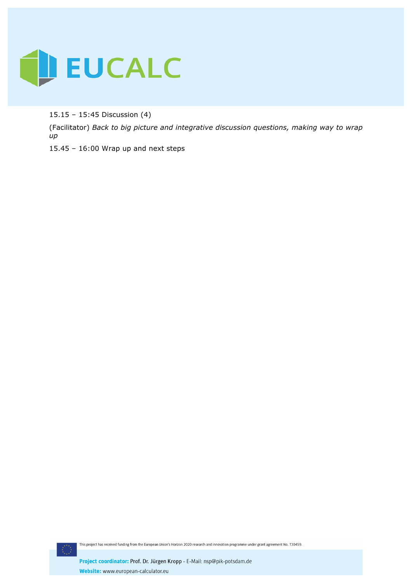

15.15 – 15:45 Discussion (4)

(Facilitator) *Back to big picture and integrative discussion questions, making way to wrap up*

15.45 – 16:00 Wrap up and next steps

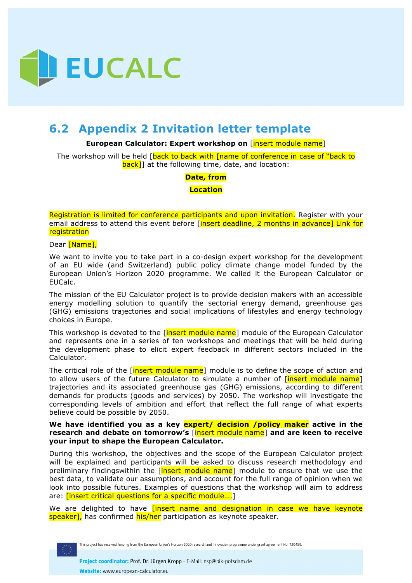

## **6.2 Appendix 2 Invitation letter template**

#### **European Calculator: Expert workshop on** [insert module name]

The workshop will be held [back to back with [name of conference in case of "back to **back]**] at the following time, date, and location:

**Date, from** 

**Location**

Registration is limited for conference participants and upon invitation. Register with your email address to attend this event before *[insert deadline, 2 months in advance] Link for* registration

#### Dear [Name],

We want to invite you to take part in a co-design expert workshop for the development of an EU wide (and Switzerland) public policy climate change model funded by the European Union's Horizon 2020 programme. We called it the European Calculator or EUCalc.

The mission of the EU Calculator project is to provide decision makers with an accessible energy modelling solution to quantify the sectorial energy demand, greenhouse gas (GHG) emissions trajectories and social implications of lifestyles and energy technology choices in Europe.

This workshop is devoted to the [insert module name] module of the European Calculator and represents one in a series of ten workshops and meetings that will be held during the development phase to elicit expert feedback in different sectors included in the Calculator.

The critical role of the *[insert module name]* module is to define the scope of action and to allow users of the future Calculator to simulate a number of [*insert module name]* trajectories and its associated greenhouse gas (GHG) emissions, according to different demands for products (goods and services) by 2050. The workshop will investigate the corresponding levels of ambition and effort that reflect the full range of what experts believe could be possible by 2050.

### **We have identified you as a key expert/ decision /policy maker active in the research and debate on tomorrow's** [insert module name] **and are keen to receive your input to shape the European Calculator.**

During this workshop, the objectives and the scope of the European Calculator project will be explained and participants will be asked to discuss research methodology and preliminary findingswithin the *[insert module name]* module to ensure that we use the best data, to validate our assumptions, and account for the full range of opinion when we look into possible futures. Examples of questions that the workshop will aim to address are: *[insert critical questions for a specific module....*]

We are delighted to have **[insert name and designation in case we have keynote** speaker], has confirmed his/her participation as keynote speaker.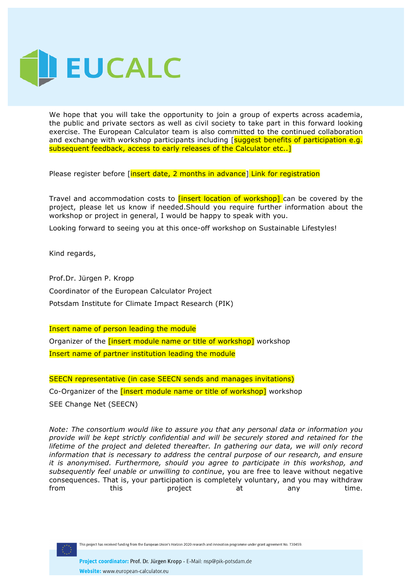

We hope that you will take the opportunity to join a group of experts across academia, the public and private sectors as well as civil society to take part in this forward looking exercise. The European Calculator team is also committed to the continued collaboration and exchange with workshop participants including [suggest benefits of participation e.g. subsequent feedback, access to early releases of the Calculator etc..]

Please register before [insert date, 2 months in advance] Link for registration

Travel and accommodation costs to **[insert location of workshop]** can be covered by the project, please let us know if needed.Should you require further information about the workshop or project in general, I would be happy to speak with you.

Looking forward to seeing you at this once-off workshop on Sustainable Lifestyles!

Kind regards,

Prof.Dr. Jürgen P. Kropp Coordinator of the European Calculator Project Potsdam Institute for Climate Impact Research (PIK)

Insert name of person leading the module Organizer of the *[insert module name or title of workshop]* workshop Insert name of partner institution leading the module

SEECN representative (in case SEECN sends and manages invitations) Co-Organizer of the **[insert module name or title of workshop]** workshop SEE Change Net (SEECN)

*Note: The consortium would like to assure you that any personal data or information you provide will be kept strictly confidential and will be securely stored and retained for the lifetime of the project and deleted thereafter. In gathering our data, we will only record information that is necessary to address the central purpose of our research, and ensure it is anonymised. Furthermore, should you agree to participate in this workshop, and subsequently feel unable or unwilling to continue*, you are free to leave without negative consequences. That is, your participation is completely voluntary, and you may withdraw from this project at any time.

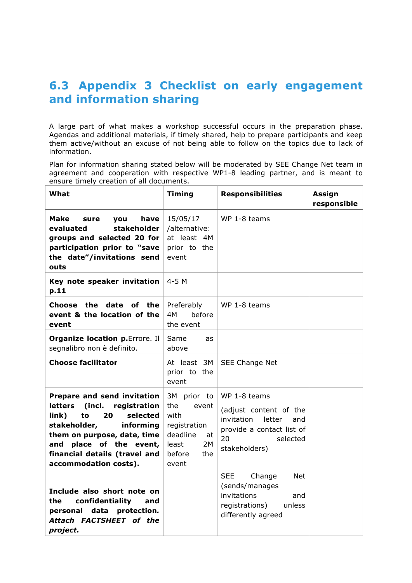## **6.3 Appendix 3 Checklist on early engagement and information sharing**

A large part of what makes a workshop successful occurs in the preparation phase. Agendas and additional materials, if timely shared, help to prepare participants and keep them active/without an excuse of not being able to follow on the topics due to lack of information.

Plan for information sharing stated below will be moderated by SEE Change Net team in agreement and cooperation with respective WP1-8 leading partner, and is meant to ensure timely creation of all documents.

| What                                                                                                                                                                                                                                                                | <b>Timing</b>                                                                                                  | <b>Responsibilities</b>                                                                                                               | Assign<br>responsible |
|---------------------------------------------------------------------------------------------------------------------------------------------------------------------------------------------------------------------------------------------------------------------|----------------------------------------------------------------------------------------------------------------|---------------------------------------------------------------------------------------------------------------------------------------|-----------------------|
| Make<br>have<br><b>vou</b><br>sure<br>evaluated<br>stakeholder<br>groups and selected 20 for<br>participation prior to "save<br>the date"/invitations send<br>outs                                                                                                  | 15/05/17<br>/alternative:<br>at least 4M<br>prior to the<br>event                                              | WP 1-8 teams                                                                                                                          |                       |
| Key note speaker invitation<br>p.11                                                                                                                                                                                                                                 | $4-5$ M                                                                                                        |                                                                                                                                       |                       |
| Choose the date<br>of the<br>event & the location of the<br>event                                                                                                                                                                                                   | Preferably<br>4M<br>hefore<br>the event                                                                        | WP 1-8 teams                                                                                                                          |                       |
| <b>Organize location p. Errore. Il</b><br>segnalibro non è definito.                                                                                                                                                                                                | Same<br>as<br>above                                                                                            |                                                                                                                                       |                       |
| <b>Choose facilitator</b>                                                                                                                                                                                                                                           | At least 3M<br>prior to the<br>event                                                                           | SEE Change Net                                                                                                                        |                       |
| <b>Prepare and send invitation</b><br><b>letters</b><br>(incl.<br>registration<br>link)<br>to<br>20<br>selected<br>stakeholder,<br>informing<br>them on purpose, date, time<br>place of the event,<br>and<br>financial details (travel and<br>accommodation costs). | 3M prior to<br>the<br>event<br>with<br>registration<br>deadline<br>at<br>2M<br>least<br>before<br>the<br>event | WP 1-8 teams<br>(adjust content of the<br>invitation<br>letter<br>and<br>provide a contact list of<br>20<br>selected<br>stakeholders) |                       |
| Include also short note on<br>the.<br>confidentiality<br>and<br>personal<br>data<br>protection.<br>Attach FACTSHEET of the<br>project.                                                                                                                              |                                                                                                                | <b>SEE</b><br>Change<br><b>Net</b><br>(sends/manages<br>invitations<br>and<br>registrations)<br>unless<br>differently agreed          |                       |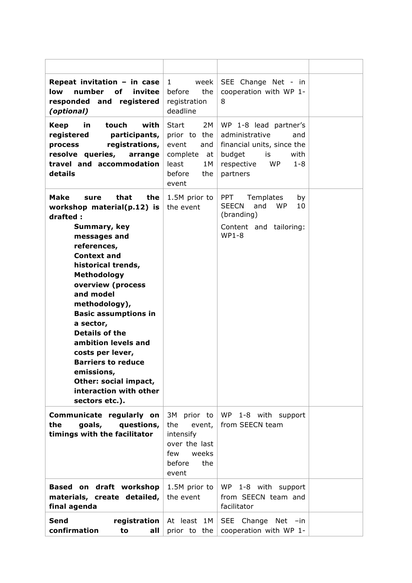| Repeat invitation - in case<br>invitee<br>low<br>number<br>οf<br>responded and registered<br>(optional)                                                                                                                                                                                                                                                                                   | 1<br>week<br>the<br>before<br>registration<br>deadline                                                  | SEE Change Net - in<br>cooperation with WP 1-<br>8                                                                                                     |  |
|-------------------------------------------------------------------------------------------------------------------------------------------------------------------------------------------------------------------------------------------------------------------------------------------------------------------------------------------------------------------------------------------|---------------------------------------------------------------------------------------------------------|--------------------------------------------------------------------------------------------------------------------------------------------------------|--|
| with<br><b>Keep</b><br>in<br>touch<br>registered<br>participants,<br>registrations,<br>process<br>resolve queries,<br>arrange<br>travel and accommodation<br>details                                                                                                                                                                                                                      | 2M<br>Start<br>prior to the<br>event<br>and<br>complete<br>at<br>least<br>1 M<br>before<br>the<br>event | WP 1-8 lead partner's<br>administrative<br>and<br>financial units, since the<br>budget<br>is<br>with<br><b>WP</b><br>respective<br>$1 - 8$<br>partners |  |
| Make<br>that<br>the<br>sure<br>workshop material(p.12) is<br>drafted:                                                                                                                                                                                                                                                                                                                     | 1.5M prior to<br>the event                                                                              | <b>PPT</b><br>Templates<br>by<br><b>SEECN</b><br><b>WP</b><br>and<br>10<br>(branding)                                                                  |  |
| Summary, key<br>messages and<br>references,<br><b>Context and</b><br>historical trends,<br>Methodology<br>overview (process<br>and model<br>methodology),<br><b>Basic assumptions in</b><br>a sector,<br><b>Details of the</b><br>ambition levels and<br>costs per lever,<br><b>Barriers to reduce</b><br>emissions,<br>Other: social impact,<br>interaction with other<br>sectors etc.). |                                                                                                         | Content and tailoring:<br><b>WP1-8</b>                                                                                                                 |  |
| Communicate regularly on<br>the<br>goals,<br>questions,<br>timings with the facilitator                                                                                                                                                                                                                                                                                                   | 3M prior to<br>the<br>event,<br>intensify<br>over the last<br>few<br>weeks<br>before<br>the<br>event    | WP 1-8 with support<br>from SEECN team                                                                                                                 |  |
| Based on draft workshop<br>materials, create detailed,<br>final agenda                                                                                                                                                                                                                                                                                                                    | 1.5M prior to<br>the event                                                                              | WP 1-8 with support<br>from SEECN team and<br>facilitator                                                                                              |  |
| <b>Send</b><br>registration<br>confirmation<br>to<br>all                                                                                                                                                                                                                                                                                                                                  | At least 1M<br>prior to the                                                                             | SEE Change Net -in<br>cooperation with WP 1-                                                                                                           |  |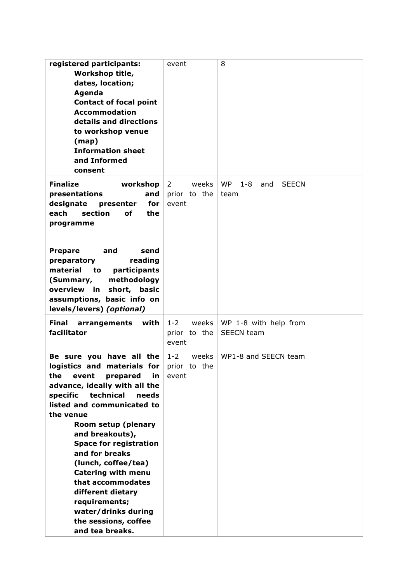| registered participants:                | event            | 8                                           |  |
|-----------------------------------------|------------------|---------------------------------------------|--|
| Workshop title,                         |                  |                                             |  |
| dates, location;                        |                  |                                             |  |
| Agenda                                  |                  |                                             |  |
| <b>Contact of focal point</b>           |                  |                                             |  |
|                                         |                  |                                             |  |
| <b>Accommodation</b>                    |                  |                                             |  |
| details and directions                  |                  |                                             |  |
| to workshop venue                       |                  |                                             |  |
| (map)                                   |                  |                                             |  |
| <b>Information sheet</b>                |                  |                                             |  |
| and Informed                            |                  |                                             |  |
| consent                                 |                  |                                             |  |
| <b>Finalize</b><br>workshop             | weeks<br>2       | <b>WP</b><br>$1 - 8$<br><b>SEECN</b><br>and |  |
|                                         |                  |                                             |  |
| presentations<br>and                    | prior to the     | team                                        |  |
| designate<br>for<br>presenter           | event            |                                             |  |
| each<br>section<br>οf<br>the            |                  |                                             |  |
| programme                               |                  |                                             |  |
|                                         |                  |                                             |  |
|                                         |                  |                                             |  |
| <b>Prepare</b><br>and<br>send           |                  |                                             |  |
| reading<br>preparatory                  |                  |                                             |  |
| material<br>participants<br>to          |                  |                                             |  |
| (Summary,<br>methodology                |                  |                                             |  |
| overview in<br>short, basic             |                  |                                             |  |
| assumptions, basic info on              |                  |                                             |  |
| levels/levers) (optional)               |                  |                                             |  |
|                                         |                  |                                             |  |
| Final<br>with<br>arrangements           | $1 - 2$<br>weeks | WP 1-8 with help from                       |  |
| facilitator                             | prior to the     | <b>SEECN</b> team                           |  |
|                                         | event            |                                             |  |
| Be sure you have all the                | $1 - 2$<br>weeks | WP1-8 and SEECN team                        |  |
| logistics and materials for             | prior<br>to the  |                                             |  |
|                                         |                  |                                             |  |
| prepared<br>the<br>event<br>in          | event            |                                             |  |
| advance, ideally with all the           |                  |                                             |  |
| specific<br>technical<br>needs          |                  |                                             |  |
| listed and communicated to              |                  |                                             |  |
| the venue                               |                  |                                             |  |
| Room setup (plenary                     |                  |                                             |  |
| and breakouts),                         |                  |                                             |  |
| <b>Space for registration</b>           |                  |                                             |  |
| and for breaks                          |                  |                                             |  |
| (lunch, coffee/tea)                     |                  |                                             |  |
| <b>Catering with menu</b>               |                  |                                             |  |
| that accommodates                       |                  |                                             |  |
| different dietary                       |                  |                                             |  |
| requirements;                           |                  |                                             |  |
| water/drinks during                     |                  |                                             |  |
|                                         |                  |                                             |  |
|                                         |                  |                                             |  |
| the sessions, coffee<br>and tea breaks. |                  |                                             |  |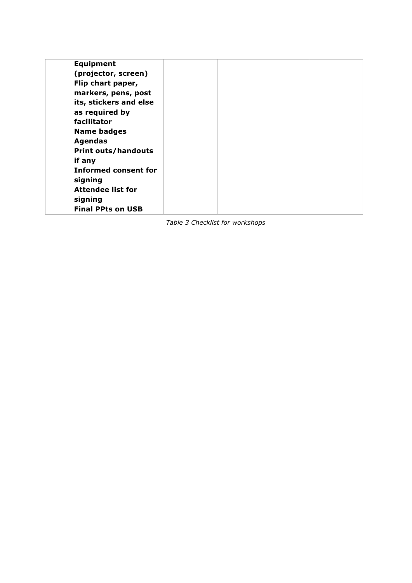| <b>Equipment</b>            |  |  |
|-----------------------------|--|--|
| (projector, screen)         |  |  |
| Flip chart paper,           |  |  |
| markers, pens, post         |  |  |
| its, stickers and else      |  |  |
| as required by              |  |  |
| facilitator                 |  |  |
| <b>Name badges</b>          |  |  |
| <b>Agendas</b>              |  |  |
| <b>Print outs/handouts</b>  |  |  |
| if any                      |  |  |
| <b>Informed consent for</b> |  |  |
| signing                     |  |  |
| <b>Attendee list for</b>    |  |  |
| signing                     |  |  |
| <b>Final PPts on USB</b>    |  |  |

*Table 3 Checklist for workshops*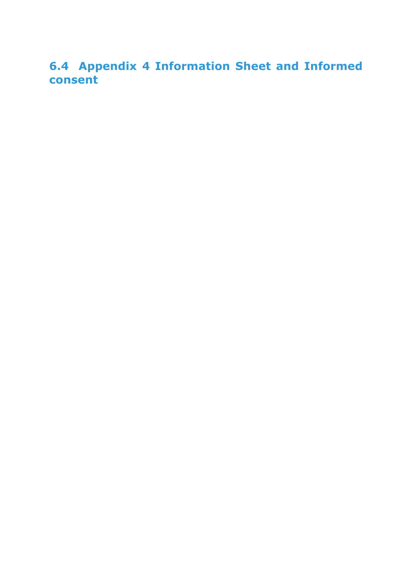**6.4 Appendix 4 Information Sheet and Informed consent**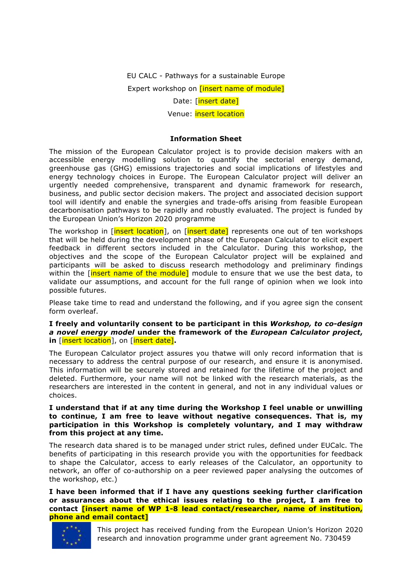EU CALC - Pathways for a sustainable Europe Expert workshop on **[insert name of module]** 

Date: [insert date]

Venue: insert location

### **Information Sheet**

The mission of the European Calculator project is to provide decision makers with an accessible energy modelling solution to quantify the sectorial energy demand, greenhouse gas (GHG) emissions trajectories and social implications of lifestyles and energy technology choices in Europe. The European Calculator project will deliver an urgently needed comprehensive, transparent and dynamic framework for research, business, and public sector decision makers. The project and associated decision support tool will identify and enable the synergies and trade-offs arising from feasible European decarbonisation pathways to be rapidly and robustly evaluated. The project is funded by the European Union's Horizon 2020 programme

The workshop in [insert location], on [insert date] represents one out of ten workshops that will be held during the development phase of the European Calculator to elicit expert feedback in different sectors included in the Calculator. During this workshop, the objectives and the scope of the European Calculator project will be explained and participants will be asked to discuss research methodology and preliminary findings within the *[insert name of the module]* module to ensure that we use the best data, to validate our assumptions, and account for the full range of opinion when we look into possible futures.

Please take time to read and understand the following, and if you agree sign the consent form overleaf.

#### **I freely and voluntarily consent to be participant in this** *Workshop, to co-design a novel energy model* **under the framework of the** *European Calculator project***, in** [insert location], on [insert date]**.**

The European Calculator project assures you thatwe will only record information that is necessary to address the central purpose of our research, and ensure it is anonymised. This information will be securely stored and retained for the lifetime of the project and deleted. Furthermore, your name will not be linked with the research materials, as the researchers are interested in the content in general, and not in any individual values or choices.

### **I understand that if at any time during the Workshop I feel unable or unwilling to continue, I am free to leave without negative consequences. That is, my participation in this Workshop is completely voluntary, and I may withdraw from this project at any time.**

The research data shared is to be managed under strict rules, defined under EUCalc. The benefits of participating in this research provide you with the opportunities for feedback to shape the Calculator, access to early releases of the Calculator, an opportunity to network, an offer of co-authorship on a peer reviewed paper analysing the outcomes of the workshop, etc.)

**I have been informed that if I have any questions seeking further clarification or assurances about the ethical issues relating to the project, I am free to contact [insert name of WP 1-8 lead contact/researcher, name of institution, phone and email contact]**

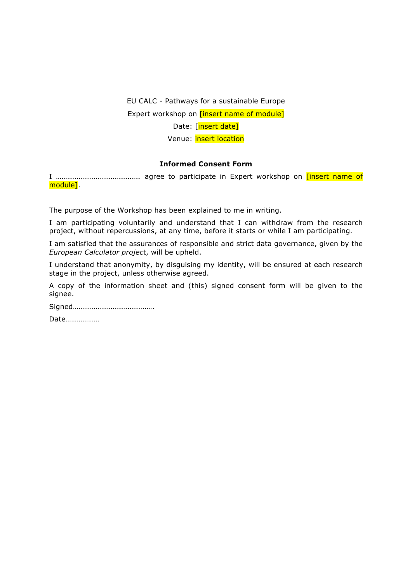### EU CALC - Pathways for a sustainable Europe Expert workshop on **[insert name of module]** Date: [insert date] Venue: insert location

### **Informed Consent Form**

I ……………………………………… agree to participate in Expert workshop on [insert name of module].

The purpose of the Workshop has been explained to me in writing.

I am participating voluntarily and understand that I can withdraw from the research project, without repercussions, at any time, before it starts or while I am participating.

I am satisfied that the assurances of responsible and strict data governance, given by the *European Calculator projec*t, will be upheld.

I understand that anonymity, by disguising my identity, will be ensured at each research stage in the project, unless otherwise agreed.

A copy of the information sheet and (this) signed consent form will be given to the signee.

Date………………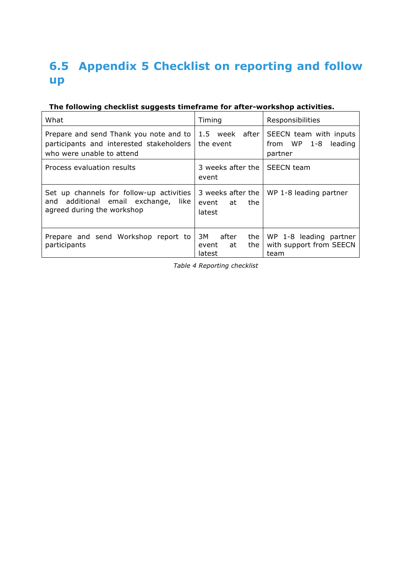## **6.5 Appendix 5 Checklist on reporting and follow up**

### **The following checklist suggests timeframe for after-workshop activities.**

| What                                                                                                                | Timing                                               | Responsibilities                                            |  |
|---------------------------------------------------------------------------------------------------------------------|------------------------------------------------------|-------------------------------------------------------------|--|
| Prepare and send Thank you note and to<br>participants and interested stakeholders<br>who were unable to attend     | 1.5<br>week<br>after<br>the event                    | SEECN team with inputs<br>from WP 1-8<br>leading<br>partner |  |
| Process evaluation results                                                                                          | 3 weeks after the<br>event                           | <b>SEECN</b> team                                           |  |
| Set up channels for follow-up activities<br>additional email exchange,<br>and<br>like<br>agreed during the workshop | 3 weeks after the<br>event<br>the<br>at<br>latest    | WP 1-8 leading partner                                      |  |
| Prepare and send Workshop report to<br>participants                                                                 | 3M -<br>after<br>the<br>the<br>at<br>event<br>latest | WP 1-8 leading partner<br>with support from SEECN<br>team   |  |

*Table 4 Reporting checklist*